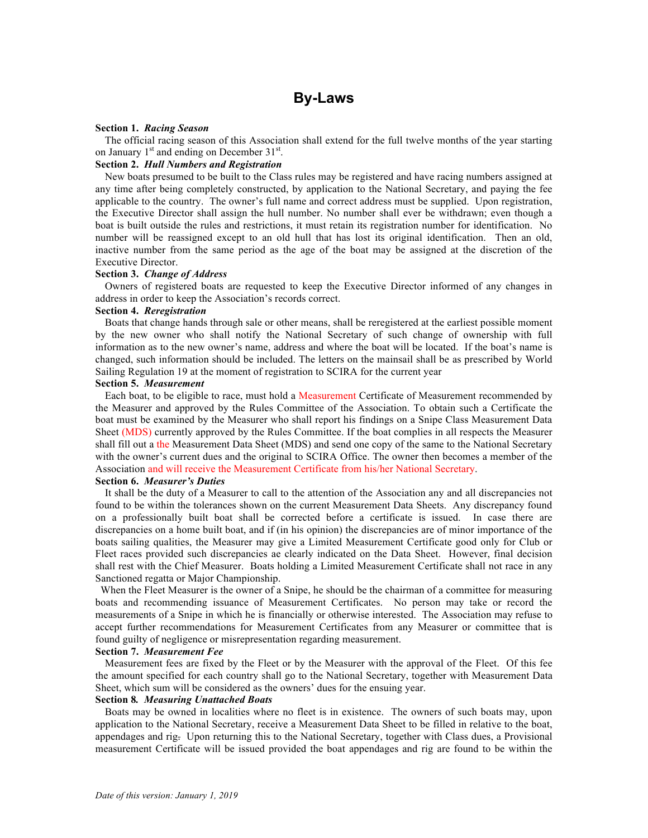## **Section 1.** *Racing Season*

The official racing season of this Association shall extend for the full twelve months of the year starting on January  $1<sup>st</sup>$  and ending on December 31 $<sup>st</sup>$ .</sup>

# **Section 2.** *Hull Numbers and Registration*

New boats presumed to be built to the Class rules may be registered and have racing numbers assigned at any time after being completely constructed, by application to the National Secretary, and paying the fee applicable to the country. The owner's full name and correct address must be supplied. Upon registration, the Executive Director shall assign the hull number. No number shall ever be withdrawn; even though a boat is built outside the rules and restrictions, it must retain its registration number for identification. No number will be reassigned except to an old hull that has lost its original identification. Then an old, inactive number from the same period as the age of the boat may be assigned at the discretion of the Executive Director.

### **Section 3.** *Change of Address*

Owners of registered boats are requested to keep the Executive Director informed of any changes in address in order to keep the Association's records correct.

### **Section 4.** *Reregistration*

Boats that change hands through sale or other means, shall be reregistered at the earliest possible moment by the new owner who shall notify the National Secretary of such change of ownership with full information as to the new owner's name, address and where the boat will be located. If the boat's name is changed, such information should be included. The letters on the mainsail shall be as prescribed by World Sailing Regulation 19 at the moment of registration to SCIRA for the current year

# **Section 5.** *Measurement*

Each boat, to be eligible to race, must hold a Measurement Certificate of Measurement recommended by the Measurer and approved by the Rules Committee of the Association. To obtain such a Certificate the boat must be examined by the Measurer who shall report his findings on a Snipe Class Measurement Data Sheet (MDS) currently approved by the Rules Committee. If the boat complies in all respects the Measurer shall fill out a the Measurement Data Sheet (MDS) and send one copy of the same to the National Secretary with the owner's current dues and the original to SCIRA Office. The owner then becomes a member of the Association and will receive the Measurement Certificate from his/her National Secretary.

### **Section 6.** *Measurer's Duties*

It shall be the duty of a Measurer to call to the attention of the Association any and all discrepancies not found to be within the tolerances shown on the current Measurement Data Sheets. Any discrepancy found on a professionally built boat shall be corrected before a certificate is issued. In case there are discrepancies on a home built boat, and if (in his opinion) the discrepancies are of minor importance of the boats sailing qualities, the Measurer may give a Limited Measurement Certificate good only for Club or Fleet races provided such discrepancies ae clearly indicated on the Data Sheet. However, final decision shall rest with the Chief Measurer. Boats holding a Limited Measurement Certificate shall not race in any Sanctioned regatta or Major Championship.

 When the Fleet Measurer is the owner of a Snipe, he should be the chairman of a committee for measuring boats and recommending issuance of Measurement Certificates. No person may take or record the measurements of a Snipe in which he is financially or otherwise interested. The Association may refuse to accept further recommendations for Measurement Certificates from any Measurer or committee that is found guilty of negligence or misrepresentation regarding measurement.

### **Section 7.** *Measurement Fee*

Measurement fees are fixed by the Fleet or by the Measurer with the approval of the Fleet. Of this fee the amount specified for each country shall go to the National Secretary, together with Measurement Data Sheet, which sum will be considered as the owners' dues for the ensuing year.

## **Section 8***. Measuring Unattached Boats*

Boats may be owned in localities where no fleet is in existence. The owners of such boats may, upon application to the National Secretary, receive a Measurement Data Sheet to be filled in relative to the boat, appendages and rig. Upon returning this to the National Secretary, together with Class dues, a Provisional measurement Certificate will be issued provided the boat appendages and rig are found to be within the